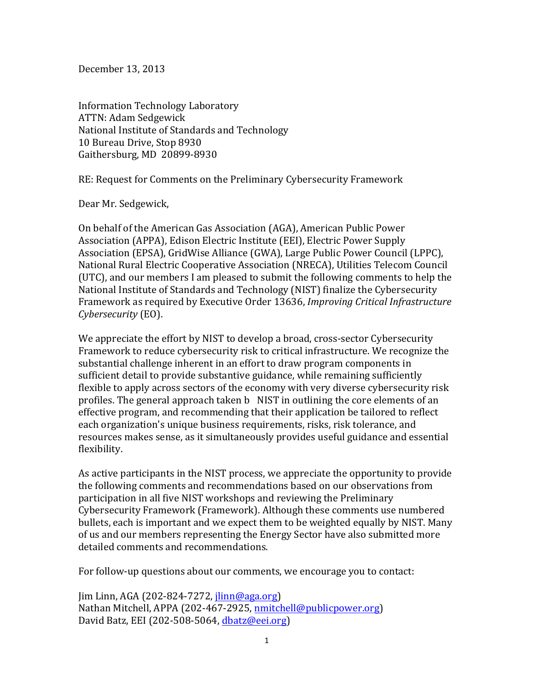December 13, 2013

Information Technology Laboratory ATTN: Adam Sedgewick National Institute of Standards and Technology 10 Bureau Drive, Stop 8930 Gaithersburg, MD 20899-8930

RE: Request for Comments on the Preliminary Cybersecurity Framework

Dear Mr. Sedgewick,

On behalf of the American Gas Association (AGA), American Public Power Association (APPA), Edison Electric Institute (EEI), Electric Power Supply Association (EPSA), GridWise Alliance (GWA), Large Public Power Council (LPPC), National Rural Electric Cooperative Association (NRECA), Utilities Telecom Council (UTC), and our members I am pleased to submit the following comments to help the National Institute of Standards and Technology (NIST) finalize the Cybersecurity Framework as required by Executive Order 13636, *Improving Critical Infrastructure Cybersecurity* (EO). 

We appreciate the effort by NIST to develop a broad, cross-sector Cybersecurity Framework to reduce cybersecurity risk to critical infrastructure. We recognize the substantial challenge inherent in an effort to draw program components in sufficient detail to provide substantive guidance, while remaining sufficiently flexible to apply across sectors of the economy with very diverse cybersecurity risk profiles. The general approach taken b NIST in outlining the core elements of an effective program, and recommending that their application be tailored to reflect each organization's unique business requirements, risks, risk tolerance, and resources makes sense, as it simultaneously provides useful guidance and essential flexibility.

As active participants in the NIST process, we appreciate the opportunity to provide the following comments and recommendations based on our observations from participation in all five NIST workshops and reviewing the Preliminary Cybersecurity Framework (Framework). Although these comments use numbered bullets, each is important and we expect them to be weighted equally by NIST. Many of us and our members representing the Energy Sector have also submitted more detailed comments and recommendations.

For follow-up questions about our comments, we encourage you to contact:

 $\lim$  Linn, AGA (202-824-7272, jlinn@aga.org) Nathan Mitchell, APPA (202-467-2925, nmitchell@publicpower.org) David Batz, EEI (202-508-5064, dbatz@eei.org)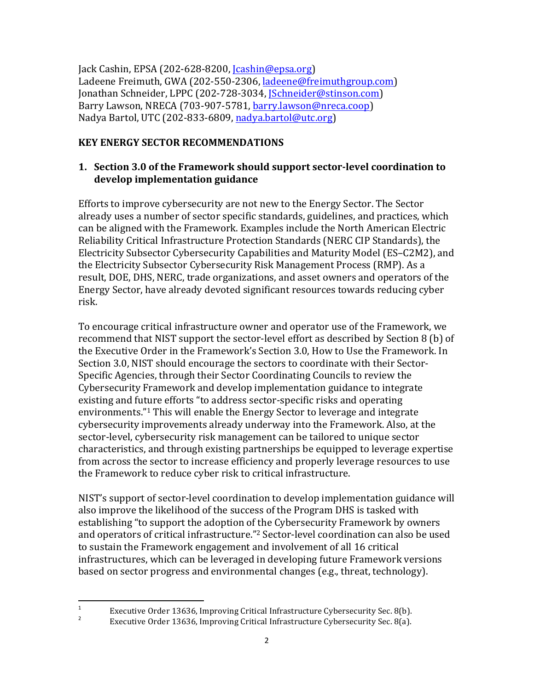Jack Cashin, EPSA  $(202-628-8200, \text{Jcashin@epsa.org})$ Ladeene Freimuth, GWA (202-550-2306, ladeene@freimuthgroup.com) Jonathan Schneider, LPPC (202-728-3034, *Schneider@stinson.com*) Barry Lawson, NRECA (703-907-5781, barry.lawson@nreca.coop) Nadya Bartol, UTC (202-833-6809, nadya.bartol@utc.org)

# **KEY ENERGY SECTOR RECOMMENDATIONS**

## **1. Section 3.0 of the Framework should support sector-level coordination to develop implementation guidance**

Efforts to improve cybersecurity are not new to the Energy Sector. The Sector already uses a number of sector specific standards, guidelines, and practices, which can be aligned with the Framework. Examples include the North American Electric Reliability Critical Infrastructure Protection Standards (NERC CIP Standards), the Electricity Subsector Cybersecurity Capabilities and Maturity Model (ES-C2M2), and the Electricity Subsector Cybersecurity Risk Management Process (RMP). As a result, DOE, DHS, NERC, trade organizations, and asset owners and operators of the Energy Sector, have already devoted significant resources towards reducing cyber risk. 

To encourage critical infrastructure owner and operator use of the Framework, we recommend that NIST support the sector-level effort as described by Section 8 (b) of the Executive Order in the Framework's Section 3.0, How to Use the Framework. In Section 3.0, NIST should encourage the sectors to coordinate with their Sector-Specific Agencies, through their Sector Coordinating Councils to review the Cybersecurity Framework and develop implementation guidance to integrate existing and future efforts "to address sector-specific risks and operating environments."<sup>1</sup> This will enable the Energy Sector to leverage and integrate cybersecurity improvements already underway into the Framework. Also, at the sector-level, cybersecurity risk management can be tailored to unique sector characteristics, and through existing partnerships be equipped to leverage expertise from across the sector to increase efficiency and properly leverage resources to use the Framework to reduce cyber risk to critical infrastructure.

NIST's support of sector-level coordination to develop implementation guidance will also improve the likelihood of the success of the Program DHS is tasked with establishing "to support the adoption of the Cybersecurity Framework by owners and operators of critical infrastructure."<sup>2</sup> Sector-level coordination can also be used to sustain the Framework engagement and involvement of all 16 critical infrastructures, which can be leveraged in developing future Framework versions based on sector progress and environmental changes (e.g., threat, technology).

<sup>&</sup>lt;sup>1</sup><br>Executive Order 13636, Improving Critical Infrastructure Cybersecurity Sec. 8(b).<br>Franchise Order 13636, Improving Critical Infrastructure Cybersecurity Sec. 8(c).

Executive Order 13636, Improving Critical Infrastructure Cybersecurity Sec. 8(a).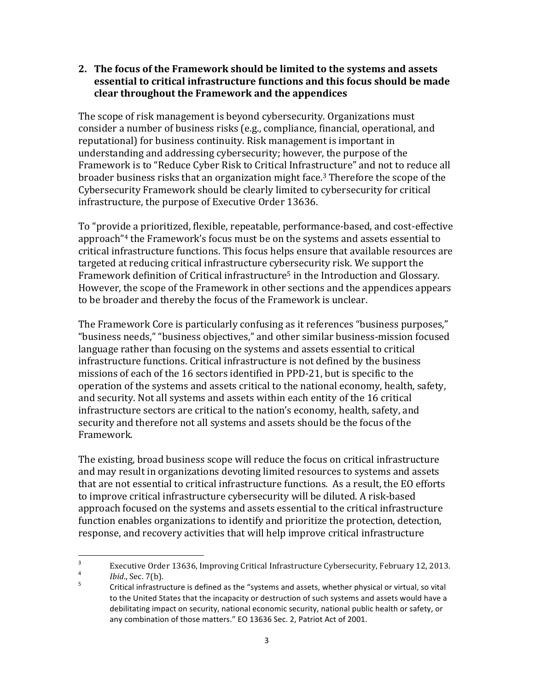#### **2.** The focus of the Framework should be limited to the systems and assets **essential to critical infrastructure functions and this focus should be made clear throughout the Framework and the appendices**

The scope of risk management is beyond cybersecurity. Organizations must consider a number of business risks (e.g., compliance, financial, operational, and reputational) for business continuity. Risk management is important in understanding and addressing cybersecurity; however, the purpose of the Framework is to "Reduce Cyber Risk to Critical Infrastructure" and not to reduce all broader business risks that an organization might face.<sup>3</sup> Therefore the scope of the Cybersecurity Framework should be clearly limited to cybersecurity for critical infrastructure, the purpose of Executive Order 13636.

To "provide a prioritized, flexible, repeatable, performance-based, and cost-effective approach"4 the Framework's focus must be on the systems and assets essential to critical infrastructure functions. This focus helps ensure that available resources are targeted at reducing critical infrastructure cybersecurity risk. We support the Framework definition of Critical infrastructure<sup>5</sup> in the Introduction and Glossary. However, the scope of the Framework in other sections and the appendices appears to be broader and thereby the focus of the Framework is unclear. 

The Framework Core is particularly confusing as it references "business purposes," "business needs," "business objectives," and other similar business-mission focused language rather than focusing on the systems and assets essential to critical infrastructure functions. Critical infrastructure is not defined by the business missions of each of the 16 sectors identified in PPD-21, but is specific to the operation of the systems and assets critical to the national economy, health, safety, and security. Not all systems and assets within each entity of the 16 critical infrastructure sectors are critical to the nation's economy, health, safety, and security and therefore not all systems and assets should be the focus of the Framework.

The existing, broad business scope will reduce the focus on critical infrastructure and may result in organizations devoting limited resources to systems and assets that are not essential to critical infrastructure functions. As a result, the EO efforts to improve critical infrastructure cybersecurity will be diluted. A risk-based approach focused on the systems and assets essential to the critical infrastructure function enables organizations to identify and prioritize the protection, detection, response, and recovery activities that will help improve critical infrastructure

<sup>&</sup>lt;sup>3</sup> Executive Order 13636, Improving Critical Infrastructure Cybersecurity, February 12, 2013.  $\frac{4}{5}$  *Ibid.*, Sec. 7(b).

Critical infrastructure is defined as the "systems and assets, whether physical or virtual, so vital to the United States that the incapacity or destruction of such systems and assets would have a debilitating impact on security, national economic security, national public health or safety, or any combination of those matters." EO 13636 Sec. 2, Patriot Act of 2001.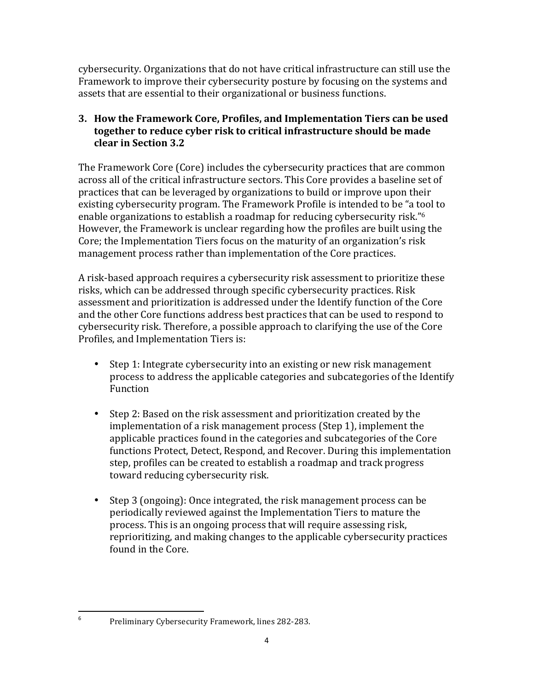cybersecurity. Organizations that do not have critical infrastructure can still use the Framework to improve their cybersecurity posture by focusing on the systems and assets that are essential to their organizational or business functions.

# **3. How the Framework Core, Profiles, and Implementation Tiers can be used together to reduce cyber risk to critical infrastructure should be made clear in Section 3.2**

The Framework Core (Core) includes the cybersecurity practices that are common across all of the critical infrastructure sectors. This Core provides a baseline set of practices that can be leveraged by organizations to build or improve upon their existing cybersecurity program. The Framework Profile is intended to be "a tool to enable organizations to establish a roadmap for reducing cybersecurity risk."6 However, the Framework is unclear regarding how the profiles are built using the Core; the Implementation Tiers focus on the maturity of an organization's risk management process rather than implementation of the Core practices.

A risk-based approach requires a cybersecurity risk assessment to prioritize these risks, which can be addressed through specific cybersecurity practices. Risk assessment and prioritization is addressed under the Identify function of the Core and the other Core functions address best practices that can be used to respond to cybersecurity risk. Therefore, a possible approach to clarifying the use of the Core Profiles, and Implementation Tiers is:

- Step 1: Integrate cybersecurity into an existing or new risk management process to address the applicable categories and subcategories of the Identify Function
- Step 2: Based on the risk assessment and prioritization created by the implementation of a risk management process (Step 1), implement the applicable practices found in the categories and subcategories of the Core functions Protect, Detect, Respond, and Recover. During this implementation step, profiles can be created to establish a roadmap and track progress toward reducing cybersecurity risk.
- • Step 3 (ongoing): Once integrated, the risk management process can be periodically reviewed against the Implementation Tiers to mature the process. This is an ongoing process that will require assessing risk, reprioritizing, and making changes to the applicable cybersecurity practices found in the Core.

<sup>6</sup> Preliminary Cybersecurity Framework, lines 282-283.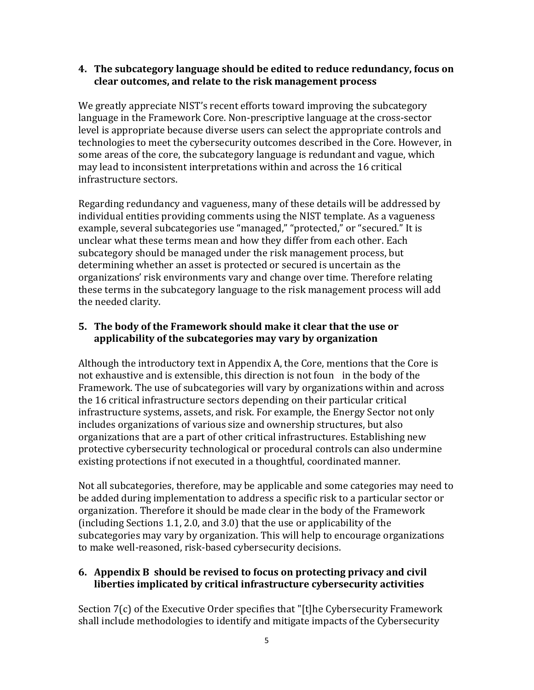#### **4. The subcategory language should be edited to reduce redundancy, focus on clear outcomes, and relate to the risk management process**

We greatly appreciate NIST's recent efforts toward improving the subcategory language in the Framework Core. Non-prescriptive language at the cross-sector level is appropriate because diverse users can select the appropriate controls and technologies to meet the cybersecurity outcomes described in the Core. However, in some areas of the core, the subcategory language is redundant and vague, which may lead to inconsistent interpretations within and across the 16 critical infrastructure sectors.

Regarding redundancy and vagueness, many of these details will be addressed by individual entities providing comments using the NIST template. As a vagueness example, several subcategories use "managed," "protected," or "secured." It is unclear what these terms mean and how they differ from each other. Each subcategory should be managed under the risk management process, but determining whether an asset is protected or secured is uncertain as the organizations' risk environments vary and change over time. Therefore relating these terms in the subcategory language to the risk management process will add the needed clarity.

## **5. The body of the Framework should make it clear that the use or applicability of the subcategories may vary by organization**

Although the introductory text in Appendix A, the Core, mentions that the Core is not exhaustive and is extensible, this direction is not foun in the body of the Framework. The use of subcategories will vary by organizations within and across the 16 critical infrastructure sectors depending on their particular critical infrastructure systems, assets, and risk. For example, the Energy Sector not only includes organizations of various size and ownership structures, but also organizations that are a part of other critical infrastructures. Establishing new protective cybersecurity technological or procedural controls can also undermine existing protections if not executed in a thoughtful, coordinated manner.

Not all subcategories, therefore, may be applicable and some categories may need to be added during implementation to address a specific risk to a particular sector or organization. Therefore it should be made clear in the body of the Framework (including Sections 1.1, 2.0, and 3.0) that the use or applicability of the subcategories may vary by organization. This will help to encourage organizations to make well-reasoned, risk-based cybersecurity decisions.

#### **6. Appendix B should be revised to focus on protecting privacy and civil liberties implicated by critical infrastructure cybersecurity activities**

Section 7(c) of the Executive Order specifies that "[t]he Cybersecurity Framework shall include methodologies to identify and mitigate impacts of the Cybersecurity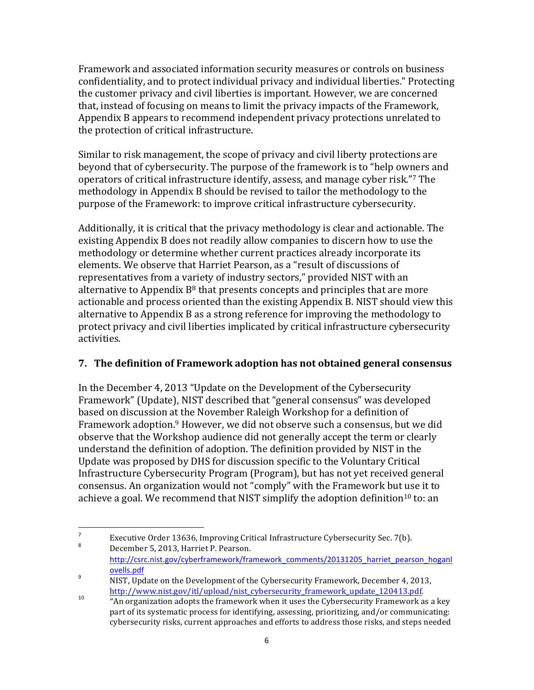Framework and associated information security measures or controls on business confidentiality, and to protect individual privacy and individual liberties." Protecting the customer privacy and civil liberties is important. However, we are concerned that, instead of focusing on means to limit the privacy impacts of the Framework, Appendix B appears to recommend independent privacy protections unrelated to the protection of critical infrastructure.

Similar to risk management, the scope of privacy and civil liberty protections are beyond that of cybersecurity. The purpose of the framework is to "help owners and operators of critical infrastructure identify, assess, and manage cyber risk."7 The methodology in Appendix B should be revised to tailor the methodology to the purpose of the Framework: to improve critical infrastructure cybersecurity. 

Additionally, it is critical that the privacy methodology is clear and actionable. The existing Appendix B does not readily allow companies to discern how to use the methodology or determine whether current practices already incorporate its elements. We observe that Harriet Pearson, as a "result of discussions of representatives from a variety of industry sectors," provided NIST with an alternative to Appendix  $B^8$  that presents concepts and principles that are more actionable and process oriented than the existing Appendix B. NIST should view this alternative to Appendix B as a strong reference for improving the methodology to protect privacy and civil liberties implicated by critical infrastructure cybersecurity activities. 

# **7. The definition of Framework adoption has not obtained general consensus**

In the December 4, 2013 "Update on the Development of the Cybersecurity Framework" (Update), NIST described that "general consensus" was developed based on discussion at the November Raleigh Workshop for a definition of Framework adoption.<sup>9</sup> However, we did not observe such a consensus, but we did observe that the Workshop audience did not generally accept the term or clearly understand the definition of adoption. The definition provided by NIST in the Update was proposed by DHS for discussion specific to the Voluntary Critical Infrastructure Cybersecurity Program (Program), but has not yet received general consensus. An organization would not "comply" with the Framework but use it to achieve a goal. We recommend that NIST simplify the adoption definition<sup>10</sup> to: an

<sup>&</sup>lt;sup>7</sup><br>Executive Order 13636, Improving Critical Infrastructure Cybersecurity Sec. 7(b).

December 5, 2013, Harriet P. Pearson. http://csrc.nist.gov/cyberframework/framework\_comments/20131205\_harriet\_pearson\_hoganl ovells.pdf<br><sup>9</sup> NIST, Update on the Development of the Cybersecurity Framework, December 4, 2013,

http://www.nist.gov/itl/upload/nist\_cybersecurity\_framework\_update\_120413.pdf.<br>
"An organization adopts the framework when it uses the Cybersecurity Framework as a key

part of its systematic process for identifying, assessing, prioritizing, and/or communicating: cybersecurity risks, current approaches and efforts to address those risks, and steps needed